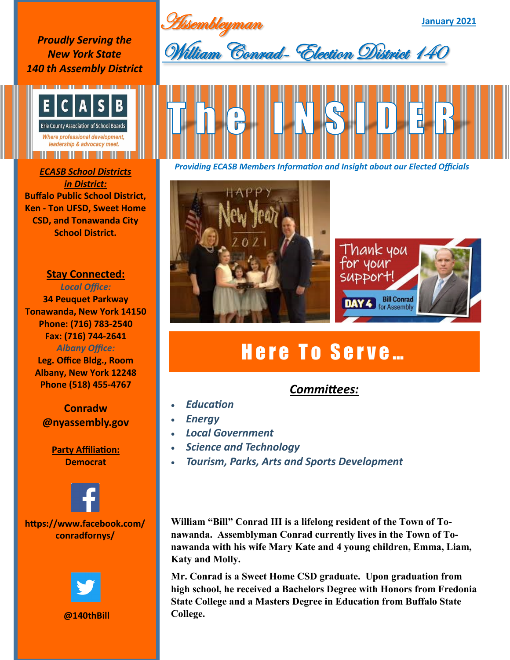Assembleyman

**January 2021**

*Proudly Serving the New York State 140 th Assembly District*



*in District:* **Buffalo Public School District, Ken - Ton UFSD, Sweet Home CSD, and Tonawanda City School District.**

### **Stay Connected:**

*Local Office:* **34 Peuquet Parkway Tonawanda, New York 14150 Phone: (716) 783-2540 Fax: (716) 744-2641** *Albany Office:*  **Leg. Office Bldg., Room Albany, New York 12248**

> **Conradw @nyassembly.gov**

**Phone (518) 455-4767**

**Party Affiliation: Democrat**



## **https://www.facebook.com/ conradfornys/**



#### **@140thBill**



*Providing ECASB Members Information and Insight about our Elected Officials ECASB School Districts* 





# Here To Serve...

# *Committees:*

- *Education*
- *Energy*
- *Local Government*
- *Science and Technology*
- *Tourism, Parks, Arts and Sports Development*

**William "Bill" Conrad III is a lifelong resident of the Town of Tonawanda. Assemblyman Conrad currently lives in the Town of Tonawanda with his wife Mary Kate and 4 young children, Emma, Liam, Katy and Molly.** 

**Mr. Conrad is a Sweet Home CSD graduate. Upon graduation from high school, he received a Bachelors Degree with Honors from Fredonia State College and a Masters Degree in Education from Buffalo State College.**